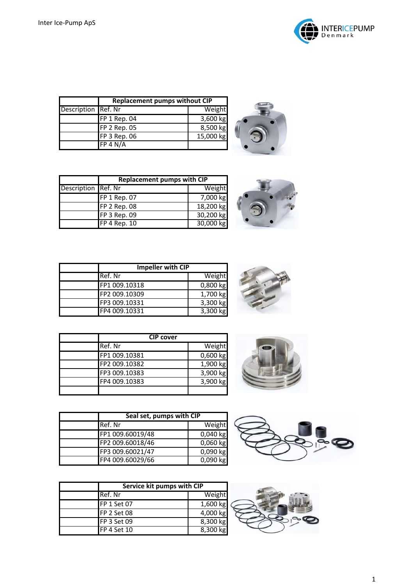



|                     | <b>Replacement pumps without CIP</b> |           |
|---------------------|--------------------------------------|-----------|
| Description Ref. Nr |                                      | Weight    |
|                     | FP 1 Rep. 04                         | 3,600 kg  |
|                     | FP 2 Rep. 05                         | 8,500 kg  |
|                     | FP 3 Rep. 06                         | 15,000 kg |
|                     | FP 4 N/A                             |           |





| Impeller with CIP |            |
|-------------------|------------|
| Ref. Nr           | Weight     |
| FP1 009.10318     | $0,800$ kg |
| FP2 009.10309     | 1,700 kg   |
| FP3 009.10331     | 3,300 kg   |
| FP4 009.10331     | $3,300$ kg |



| <b>CIP</b> cover |            |
|------------------|------------|
| Ref. Nr          | Weight     |
| FP1 009.10381    | $0,600$ kg |
| FP2 009.10382    | 1,900 kg   |
| FP3 009.10383    | 3,900 kg   |
| FP4 009.10383    | 3,900 kg   |
|                  |            |



| Seal set, pumps with CIP |            |
|--------------------------|------------|
| Ref. Nr                  | Weight     |
| FP1 009.60019/48         | $0,040$ kg |
| FP2 009.60018/46         | $0,060$ kg |
| FP3 009.60021/47         | 0,090 kg   |
| FP4 009.60029/66         | $0,090$ kg |



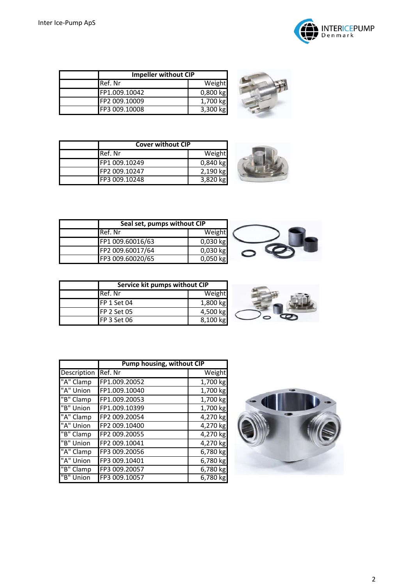



| <b>Impeller without CIP</b> |            |
|-----------------------------|------------|
| Ref. Nr                     | Weight     |
| FP1.009.10042               | $0,800$ kg |
| FP2 009.10009               | 1,700 kg   |
| FP3 009.10008               | 3,300 kg   |



| <b>Cover without CIP</b> |            |
|--------------------------|------------|
| Ref. Nr                  | Weight     |
| FP1 009.10249            | $0,840$ kg |
| FP2 009.10247            | 2,190 kg   |
| FP3 009.10248            | 3,820 kg   |



| Seal set, pumps without CIP |            |
|-----------------------------|------------|
| Ref. Nr                     | Weight     |
| FP1 009.60016/63            | $0,030$ kg |
| FP2 009.60017/64            | 0,030 kg   |
| FP3 009.60020/65            | $0,050$ kg |



| Service kit pumps without CIP |          |
|-------------------------------|----------|
| Ref. Nr                       | Weight   |
| FP 1 Set 04                   | 1,800 kg |
| <b>FP 2 Set 05</b>            | 4,500 kg |
| <b>FP 3 Set 06</b>            | 8,100 kg |

|             | Pump housing, without CIP |          |
|-------------|---------------------------|----------|
| Description | Ref. Nr                   | Weight   |
| "A" Clamp   | FP1.009.20052             | 1,700 kg |
| "A" Union   | FP1.009.10040             | 1,700 kg |
| "B" Clamp   | FP1.009.20053             | 1,700 kg |
| "B" Union   | FP1.009.10399             | 1,700 kg |
| "A" Clamp   | FP2 009.20054             | 4,270 kg |
| "A" Union   | FP2 009.10400             | 4,270 kg |
| "B" Clamp   | FP2 009.20055             | 4,270 kg |
| "B" Union   | FP2 009.10041             | 4,270 kg |
| "A" Clamp   | FP3 009.20056             | 6,780 kg |
| "A" Union   | FP3 009.10401             | 6,780 kg |
| "B" Clamp   | FP3 009.20057             | 6,780 kg |
| "B" Union   | FP3 009.10057             | 6,780 kg |

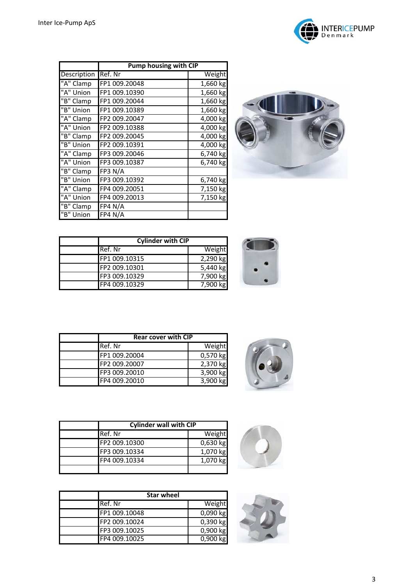

| Description | <b>Pump housing with CIP</b> |                        |
|-------------|------------------------------|------------------------|
|             | Ref. Nr                      | Weight                 |
| "A" Clamp   | FP1 009.20048                | 1,660 kg               |
| "A" Union   | FP1 009.10390                | 1,660 kg               |
| "B" Clamp   | FP1 009.20044                | 1,660 kg               |
| "B" Union   | FP1 009.10389                | 1,660 kg               |
| "A" Clamp   | FP2 009.20047                | 4,000 kg               |
| "A" Union   | FP2 009.10388                | 4,000 kg               |
| "B" Clamp   | FP2 009.20045                | $4,000$ kg             |
| "B" Union   | FP2 009.10391                | $4,000$ kg             |
| "A" Clamp   | FP3 009.20046                | $6,740$ kg             |
| "A" Union   | FP3 009.10387                | 6,740 kg               |
| "B" Clamp   | FP3 N/A                      |                        |
| "B" Union   | FP3 009.10392                | 6,740 kg               |
| "A" Clamp   | FP4 009.20051                | $\overline{7}$ ,150 kg |
| "A" Union   | FP4 009.20013                | $\frac{1}{7}$ ,150 kg  |
| "B" Clamp   | FP4 N/A                      |                        |
| "B" Union   | FP4 N/A                      |                        |



| <b>Cylinder with CIP</b> |          |
|--------------------------|----------|
| Ref. Nr                  | Weight   |
| FP1 009.10315            | 2,290 kg |
| FP2 009.10301            | 5,440 kg |
| FP3 009.10329            | 7,900 kg |
| FP4 009.10329            | 7.900 kg |





| <b>Rear cover with CIP</b> |            |
|----------------------------|------------|
| Ref. Nr                    | Weight     |
| FP1 009.20004              | 0,570 kg   |
| FP2 009.20007              | 2,370 kg   |
| FP3 009.20010              | 3,900 kg   |
| FP4 009.20010              | $3,900$ kg |



| <b>Cylinder wall with CIP</b> |            |
|-------------------------------|------------|
| Ref. Nr                       | Weight     |
| FP2 009.10300                 | $0,630$ kg |
| FP3 009.10334                 | 1,070 kg   |
| FP4 009.10334                 | 1,070 kg   |
|                               |            |

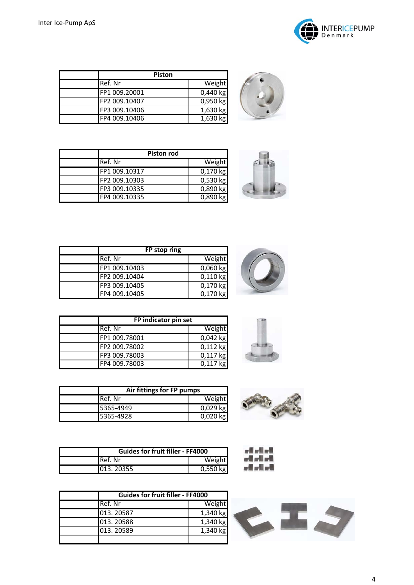

| <b>Piston</b> |            |
|---------------|------------|
| Ref. Nr       | Weight     |
| FP1 009.20001 | $0,440$ kg |
| FP2 009.10407 | 0,950 kg   |
| FP3 009.10406 | 1,630 kg   |
| FP4 009.10406 | 1,630 kg   |



| <b>Piston rod</b> |                       |
|-------------------|-----------------------|
| Ref. Nr           | Weight                |
| FP1 009.10317     | $0,170$ kg            |
| FP2 009.10303     | $0,530$ kg            |
| FP3 009.10335     | $0,890$ kg            |
| FP4 009.10335     | $\overline{0,890}$ kg |



| FP stop ring  |            |
|---------------|------------|
| Ref. Nr       | Weight     |
| FP1 009.10403 | $0,060$ kg |
| FP2 009.10404 | $0,110$ kg |
| FP3 009.10405 | $0,170$ kg |
| FP4 009.10405 | $0,170$ kg |

| FP indicator pin set |            |
|----------------------|------------|
| Ref. Nr              | Weight     |
| FP1 009.78001        | $0,042$ kg |
| FP2 009.78002        | $0,112$ kg |
| FP3 009.78003        | $0,117$ kg |
| FP4 009.78003        | $0.117$ kg |



| <b>Guides for fruit filler - FF4000</b> |            |
|-----------------------------------------|------------|
| <b>I</b> Ref. Nr                        | Weight     |
| 013, 20355                              | $0,550$ kg |

| <b>Guides for fruit filler - FF4000</b> |          |
|-----------------------------------------|----------|
| Ref. Nr                                 | Weight   |
| 013.20587                               | 1,340 kg |
| 013.20588                               | 1,340 kg |
| 013.20589                               | 1,340 kg |
|                                         |          |